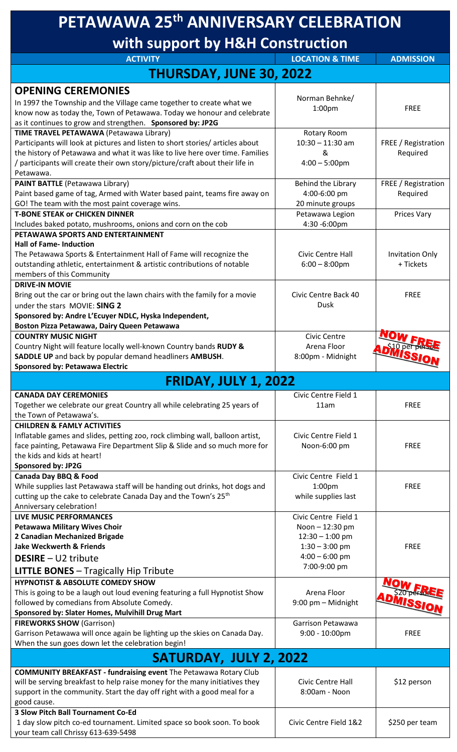| PETAWAWA 25 <sup>th</sup> ANNIVERSARY CELEBRATION<br>with support by H&H Construction                                                                      |                                           |                        |  |
|------------------------------------------------------------------------------------------------------------------------------------------------------------|-------------------------------------------|------------------------|--|
|                                                                                                                                                            |                                           |                        |  |
| <b>THURSDAY, JUNE 30, 2022</b>                                                                                                                             |                                           |                        |  |
| <b>OPENING CEREMONIES</b>                                                                                                                                  |                                           |                        |  |
| In 1997 the Township and the Village came together to create what we                                                                                       | Norman Behnke/<br>1:00 <sub>pm</sub>      | <b>FREE</b>            |  |
| know now as today the, Town of Petawawa. Today we honour and celebrate                                                                                     |                                           |                        |  |
| as it continues to grow and strengthen. Sponsored by: JP2G<br>TIME TRAVEL PETAWAWA (Petawawa Library)                                                      | Rotary Room                               |                        |  |
| Participants will look at pictures and listen to short stories/ articles about                                                                             | $10:30 - 11:30$ am                        | FREE / Registration    |  |
| the history of Petawawa and what it was like to live here over time. Families                                                                              | &                                         | Required               |  |
| / participants will create their own story/picture/craft about their life in<br>Petawawa.                                                                  | $4:00 - 5:00$ pm                          |                        |  |
| <b>PAINT BATTLE (Petawawa Library)</b>                                                                                                                     | Behind the Library                        | FREE / Registration    |  |
| Paint based game of tag, Armed with Water based paint, teams fire away on                                                                                  | 4:00-6:00 pm                              | Required               |  |
| GO! The team with the most paint coverage wins.<br><b>T-BONE STEAK or CHICKEN DINNER</b>                                                                   | 20 minute groups<br>Petawawa Legion       | Prices Vary            |  |
| Includes baked potato, mushrooms, onions and corn on the cob                                                                                               | 4:30 -6:00pm                              |                        |  |
| PETAWAWA SPORTS AND ENTERTAINMENT                                                                                                                          |                                           |                        |  |
| <b>Hall of Fame-Induction</b><br>The Petawawa Sports & Entertainment Hall of Fame will recognize the                                                       | Civic Centre Hall                         | <b>Invitation Only</b> |  |
| outstanding athletic, entertainment & artistic contributions of notable                                                                                    | $6:00 - 8:00$ pm                          | + Tickets              |  |
| members of this Community                                                                                                                                  |                                           |                        |  |
| <b>DRIVE-IN MOVIE</b><br>Bring out the car or bring out the lawn chairs with the family for a movie                                                        | Civic Centre Back 40                      | <b>FREE</b>            |  |
| under the stars MOVIE: SING 2                                                                                                                              | Dusk                                      |                        |  |
| Sponsored by: Andre L'Ecuyer NDLC, Hyska Independent,                                                                                                      |                                           |                        |  |
| Boston Pizza Petawawa, Dairy Queen Petawawa                                                                                                                |                                           |                        |  |
| <b>COUNTRY MUSIC NIGHT</b><br>Country Night will feature locally well-known Country bands RUDY &                                                           | Civic Centre<br>Arena Floor               |                        |  |
| SADDLE UP and back by popular demand headliners AMBUSH.                                                                                                    | 8:00pm - Midnight                         | <b>ADMISSIO</b>        |  |
| <b>Sponsored by: Petawawa Electric</b>                                                                                                                     |                                           |                        |  |
| <b>FRIDAY, JULY 1, 2022</b>                                                                                                                                |                                           |                        |  |
| <b>CANADA DAY CEREMONIES</b>                                                                                                                               | Civic Centre Field 1                      |                        |  |
| Together we celebrate our great Country all while celebrating 25 years of<br>the Town of Petawawa's.                                                       | 11am                                      | <b>FREE</b>            |  |
| <b>CHILDREN &amp; FAMLY ACTIVITIES</b>                                                                                                                     |                                           |                        |  |
| Inflatable games and slides, petting zoo, rock climbing wall, balloon artist,                                                                              | Civic Centre Field 1                      |                        |  |
| face painting, Petawawa Fire Department Slip & Slide and so much more for<br>the kids and kids at heart!                                                   | Noon-6:00 pm                              | <b>FREE</b>            |  |
| Sponsored by: JP2G                                                                                                                                         |                                           |                        |  |
| <b>Canada Day BBQ &amp; Food</b>                                                                                                                           | Civic Centre Field 1                      |                        |  |
| While supplies last Petawawa staff will be handing out drinks, hot dogs and<br>cutting up the cake to celebrate Canada Day and the Town's 25 <sup>th</sup> | 1:00 <sub>pm</sub><br>while supplies last | <b>FREE</b>            |  |
| Anniversary celebration!                                                                                                                                   |                                           |                        |  |
| <b>LIVE MUSIC PERFORMANCES</b>                                                                                                                             | Civic Centre Field 1                      |                        |  |
| <b>Petawawa Military Wives Choir</b><br>2 Canadian Mechanized Brigade                                                                                      | Noon - 12:30 pm<br>$12:30 - 1:00$ pm      |                        |  |
| <b>Jake Weckwerth &amp; Friends</b>                                                                                                                        | $1:30 - 3:00$ pm                          | <b>FREE</b>            |  |
| <b>DESIRE</b> - U2 tribute                                                                                                                                 | $4:00 - 6:00$ pm                          |                        |  |
| <b>LITTLE BONES</b> - Tragically Hip Tribute                                                                                                               | 7:00-9:00 pm                              |                        |  |
| <b>HYPNOTIST &amp; ABSOLUTE COMEDY SHOW</b>                                                                                                                |                                           |                        |  |
| This is going to be a laugh out loud evening featuring a full Hypnotist Show<br>followed by comedians from Absolute Comedy.                                | Arena Floor<br>9:00 pm - Midnight         |                        |  |
| Sponsored by: Slater Homes, Mulvihill Drug Mart                                                                                                            |                                           |                        |  |
| <b>FIREWORKS SHOW (Garrison)</b>                                                                                                                           | Garrison Petawawa                         |                        |  |
| Garrison Petawawa will once again be lighting up the skies on Canada Day.<br>When the sun goes down let the celebration begin!                             | $9:00 - 10:00$ pm                         | <b>FREE</b>            |  |
| SATURDAY, JULY 2, 2022                                                                                                                                     |                                           |                        |  |
| <b>COMMUNITY BREAKFAST - fundraising event The Petawawa Rotary Club</b>                                                                                    |                                           |                        |  |
| will be serving breakfast to help raise money for the many initiatives they                                                                                | Civic Centre Hall                         | \$12 person            |  |
| support in the community. Start the day off right with a good meal for a                                                                                   | 8:00am - Noon                             |                        |  |
| good cause.<br><b>3 Slow Pitch Ball Tournament Co-Ed</b>                                                                                                   |                                           |                        |  |
|                                                                                                                                                            |                                           |                        |  |
| 1 day slow pitch co-ed tournament. Limited space so book soon. To book<br>your team call Chrissy 613-639-5498                                              | Civic Centre Field 1&2                    | \$250 per team         |  |